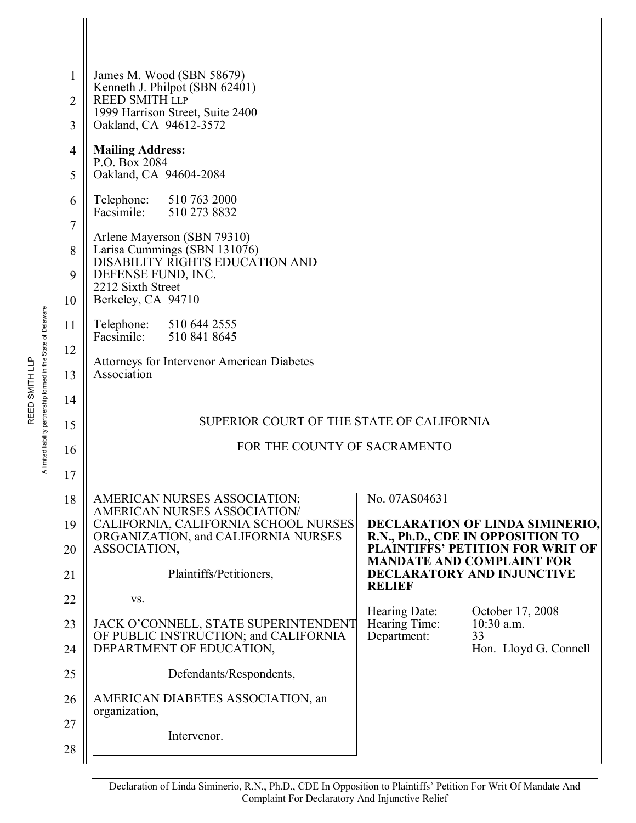| 1<br>2            | James M. Wood (SBN 58679)<br>Kenneth J. Philpot (SBN 62401)<br><b>REED SMITH LLP</b>                                                                            |                                                                              |  |  |  |  |
|-------------------|-----------------------------------------------------------------------------------------------------------------------------------------------------------------|------------------------------------------------------------------------------|--|--|--|--|
| 3                 | 1999 Harrison Street, Suite 2400<br>Oakland, CA 94612-3572                                                                                                      |                                                                              |  |  |  |  |
| 4<br>5            | <b>Mailing Address:</b><br>P.O. Box 2084<br>Oakland, CA 94604-2084                                                                                              |                                                                              |  |  |  |  |
| 6                 | Telephone: 510 763 2000<br>Facsimile: 510 273 8832                                                                                                              |                                                                              |  |  |  |  |
| 7<br>8<br>9<br>10 | Arlene Mayerson (SBN 79310)<br>Larisa Cummings (SBN 131076)<br>DISABILITY RIGHTS EDUCATION AND<br>DEFENSE FUND, INC.<br>2212 Sixth Street<br>Berkeley, CA 94710 |                                                                              |  |  |  |  |
| 11                | Telephone: 510 644 2555<br>Facsimile: 510 841 8645                                                                                                              |                                                                              |  |  |  |  |
| 12<br>13          | Attorneys for Intervenor American Diabetes<br>Association                                                                                                       |                                                                              |  |  |  |  |
| 14                |                                                                                                                                                                 |                                                                              |  |  |  |  |
| 15                |                                                                                                                                                                 | SUPERIOR COURT OF THE STATE OF CALIFORNIA                                    |  |  |  |  |
| 16                |                                                                                                                                                                 | FOR THE COUNTY OF SACRAMENTO                                                 |  |  |  |  |
| 17                |                                                                                                                                                                 |                                                                              |  |  |  |  |
| 18<br>19          | AMERICAN NURSES ASSOCIATION;<br><b>AMERICAN NURSES ASSOCIATION/</b><br>CALIFORNIA, CALIFORNIA SCHOOL NURSES                                                     | No. 07AS04631<br><b>DECLARATION OF LINDA SIMINERIO,</b>                      |  |  |  |  |
| 20                | ORGANIZATION, and CALIFORNIA NURSES<br>ASSOCIATION,                                                                                                             | R.N., Ph.D., CDE IN OPPOSITION TO<br><b>PLAINTIFFS' PETITION FOR WRIT OF</b> |  |  |  |  |
| 21                | Plaintiffs/Petitioners,                                                                                                                                         | <b>MANDATE AND COMPLAINT FOR</b><br><b>DECLARATORY AND INJUNCTIVE</b>        |  |  |  |  |
|                   |                                                                                                                                                                 | <b>RELIEF</b>                                                                |  |  |  |  |
| 22                | VS.                                                                                                                                                             | Hearing Date:<br>October 17, 2008                                            |  |  |  |  |
| 23<br>24          | JACK O'CONNELL, STATE SUPERINTENDENT<br>OF PUBLIC INSTRUCTION; and CALIFORNIA<br>DEPARTMENT OF EDUCATION,                                                       | Hearing Time:<br>$10:30$ a.m.<br>Department:<br>33<br>Hon. Lloyd G. Connell  |  |  |  |  |
| 25                | Defendants/Respondents,                                                                                                                                         |                                                                              |  |  |  |  |
| 26                | AMERICAN DIABETES ASSOCIATION, an                                                                                                                               |                                                                              |  |  |  |  |
| 27                | organization,                                                                                                                                                   |                                                                              |  |  |  |  |
| 28                | Intervenor.                                                                                                                                                     |                                                                              |  |  |  |  |
|                   |                                                                                                                                                                 |                                                                              |  |  |  |  |

A limited liability partnership formed in the State of Delaware A limited liability partnership formed in the State of Delaware REED SMITH LLP REED SMITH LLP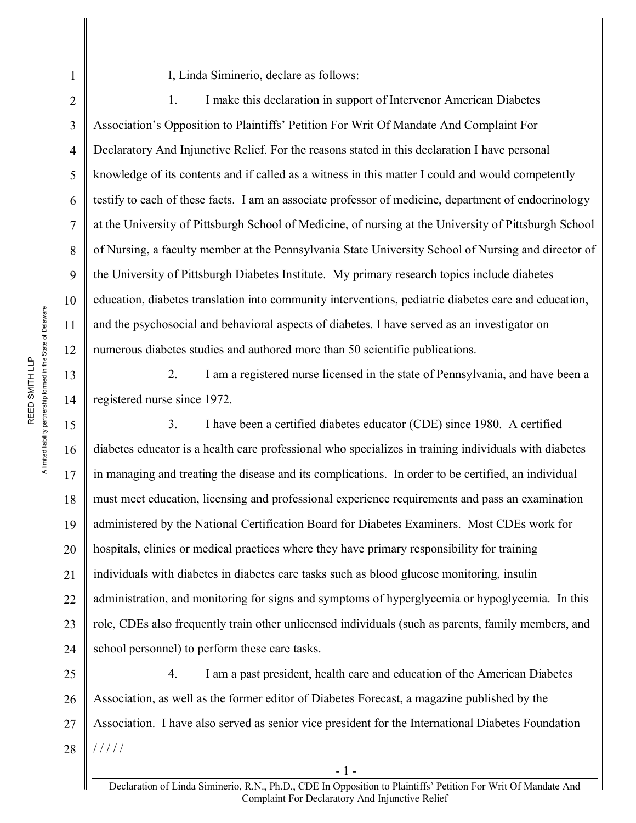10

11

12

13

14

15

16

17

18

19

20

21

22

23

1

2

I, Linda Siminerio, declare as follows:

1. I make this declaration in support of Intervenor American Diabetes Association's Opposition to Plaintiffs' Petition For Writ Of Mandate And Complaint For Declaratory And Injunctive Relief. For the reasons stated in this declaration I have personal knowledge of its contents and if called as a witness in this matter I could and would competently testify to each of these facts. I am an associate professor of medicine, department of endocrinology at the University of Pittsburgh School of Medicine, of nursing at the University of Pittsburgh School of Nursing, a faculty member at the Pennsylvania State University School of Nursing and director of the University of Pittsburgh Diabetes Institute. My primary research topics include diabetes education, diabetes translation into community interventions, pediatric diabetes care and education, and the psychosocial and behavioral aspects of diabetes. I have served as an investigator on numerous diabetes studies and authored more than 50 scientific publications.

2. I am a registered nurse licensed in the state of Pennsylvania, and have been a registered nurse since 1972.

24 3. I have been a certified diabetes educator (CDE) since 1980. A certified diabetes educator is a health care professional who specializes in training individuals with diabetes in managing and treating the disease and its complications. In order to be certified, an individual must meet education, licensing and professional experience requirements and pass an examination administered by the National Certification Board for Diabetes Examiners. Most CDEs work for hospitals, clinics or medical practices where they have primary responsibility for training individuals with diabetes in diabetes care tasks such as blood glucose monitoring, insulin administration, and monitoring for signs and symptoms of hyperglycemia or hypoglycemia. In this role, CDEs also frequently train other unlicensed individuals (such as parents, family members, and school personnel) to perform these care tasks.

25 26 27 28 4. I am a past president, health care and education of the American Diabetes Association, as well as the former editor of Diabetes Forecast, a magazine published by the Association. I have also served as senior vice president for the International Diabetes Foundation / / / / /

- 1 -

A limited liability partnership formed in the State of Delaware A limited liability partnership formed in the State of Delaware REED SMITH LLP REED SMITH LLP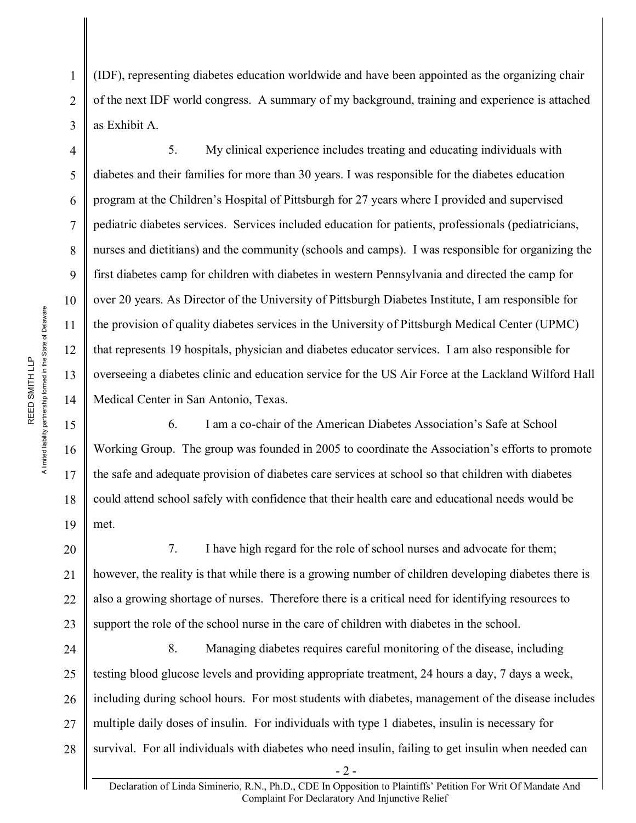(IDF), representing diabetes education worldwide and have been appointed as the organizing chair of the next IDF world congress. A summary of my background, training and experience is attached as Exhibit A.

5. My clinical experience includes treating and educating individuals with diabetes and their families for more than 30 years. I was responsible for the diabetes education program at the Children's Hospital of Pittsburgh for 27 years where I provided and supervised pediatric diabetes services. Services included education for patients, professionals (pediatricians, nurses and dietitians) and the community (schools and camps). I was responsible for organizing the first diabetes camp for children with diabetes in western Pennsylvania and directed the camp for over 20 years. As Director of the University of Pittsburgh Diabetes Institute, I am responsible for the provision of quality diabetes services in the University of Pittsburgh Medical Center (UPMC) that represents 19 hospitals, physician and diabetes educator services. I am also responsible for overseeing a diabetes clinic and education service for the US Air Force at the Lackland Wilford Hall Medical Center in San Antonio, Texas.

6. I am a co-chair of the American Diabetes Association's Safe at School Working Group. The group was founded in 2005 to coordinate the Association's efforts to promote the safe and adequate provision of diabetes care services at school so that children with diabetes could attend school safely with confidence that their health care and educational needs would be met.

20 21 22 23 7. I have high regard for the role of school nurses and advocate for them; however, the reality is that while there is a growing number of children developing diabetes there is also a growing shortage of nurses. Therefore there is a critical need for identifying resources to support the role of the school nurse in the care of children with diabetes in the school.

24 25 26 27 28 8. Managing diabetes requires careful monitoring of the disease, including testing blood glucose levels and providing appropriate treatment, 24 hours a day, 7 days a week, including during school hours. For most students with diabetes, management of the disease includes multiple daily doses of insulin. For individuals with type 1 diabetes, insulin is necessary for survival. For all individuals with diabetes who need insulin, failing to get insulin when needed can

1

2

3

4

5

6

7

8

9

10

11

12

13

14

15

16

17

18

19

Declaration of Linda Siminerio, R.N., Ph.D., CDE In Opposition to Plaintiffs' Petition For Writ Of Mandate And Complaint For Declaratory And Injunctive Relief

- 2 -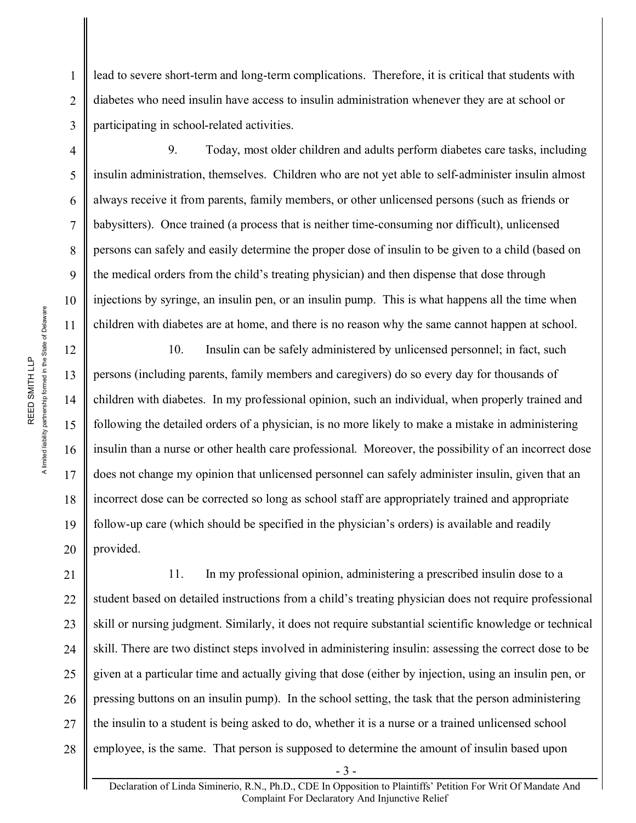lead to severe short-term and long-term complications. Therefore, it is critical that students with diabetes who need insulin have access to insulin administration whenever they are at school or participating in school-related activities.

9. Today, most older children and adults perform diabetes care tasks, including insulin administration, themselves. Children who are not yet able to self-administer insulin almost always receive it from parents, family members, or other unlicensed persons (such as friends or babysitters). Once trained (a process that is neither time-consuming nor difficult), unlicensed persons can safely and easily determine the proper dose of insulin to be given to a child (based on the medical orders from the child's treating physician) and then dispense that dose through injections by syringe, an insulin pen, or an insulin pump. This is what happens all the time when children with diabetes are at home, and there is no reason why the same cannot happen at school.

10. Insulin can be safely administered by unlicensed personnel; in fact, such persons (including parents, family members and caregivers) do so every day for thousands of children with diabetes. In my professional opinion, such an individual, when properly trained and following the detailed orders of a physician, is no more likely to make a mistake in administering insulin than a nurse or other health care professional. Moreover, the possibility of an incorrect dose does not change my opinion that unlicensed personnel can safely administer insulin, given that an incorrect dose can be corrected so long as school staff are appropriately trained and appropriate follow-up care (which should be specified in the physician's orders) is available and readily provided.

21 22 11. In my professional opinion, administering a prescribed insulin dose to a student based on detailed instructions from a child's treating physician does not require professional skill or nursing judgment. Similarly, it does not require substantial scientific knowledge or technical skill. There are two distinct steps involved in administering insulin: assessing the correct dose to be given at a particular time and actually giving that dose (either by injection, using an insulin pen, or pressing buttons on an insulin pump). In the school setting, the task that the person administering the insulin to a student is being asked to do, whether it is a nurse or a trained unlicensed school employee, is the same. That person is supposed to determine the amount of insulin based upon

1

2

3

4

5

6

7

8

9

10

11

12

13

14

15

16

17

18

19

20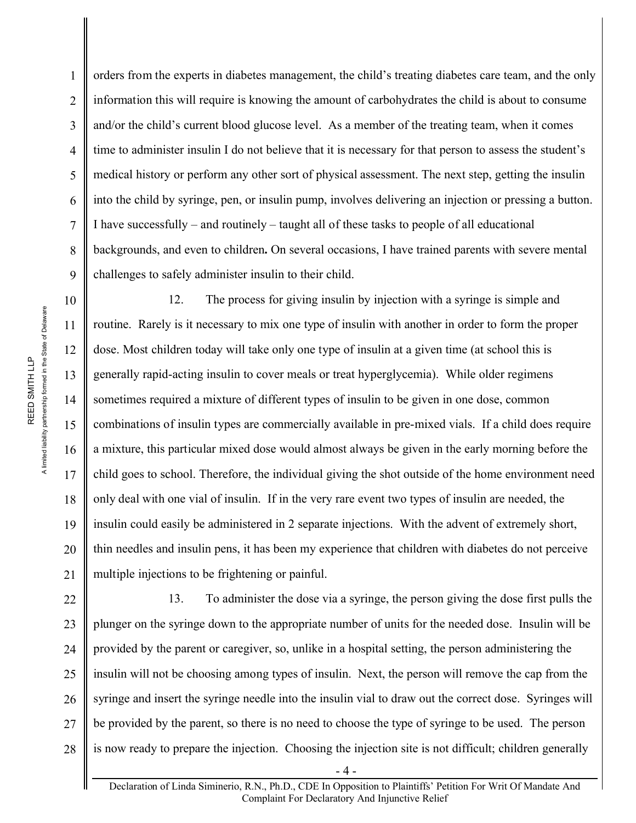orders from the experts in diabetes management, the child's treating diabetes care team, and the only information this will require is knowing the amount of carbohydrates the child is about to consume and/or the child's current blood glucose level. As a member of the treating team, when it comes time to administer insulin I do not believe that it is necessary for that person to assess the student's medical history or perform any other sort of physical assessment. The next step, getting the insulin into the child by syringe, pen, or insulin pump, involves delivering an injection or pressing a button. I have successfully – and routinely – taught all of these tasks to people of all educational backgrounds, and even to children**.** On several occasions, I have trained parents with severe mental challenges to safely administer insulin to their child.

12. The process for giving insulin by injection with a syringe is simple and routine. Rarely is it necessary to mix one type of insulin with another in order to form the proper dose. Most children today will take only one type of insulin at a given time (at school this is generally rapid-acting insulin to cover meals or treat hyperglycemia). While older regimens sometimes required a mixture of different types of insulin to be given in one dose, common combinations of insulin types are commercially available in pre-mixed vials. If a child does require a mixture, this particular mixed dose would almost always be given in the early morning before the child goes to school. Therefore, the individual giving the shot outside of the home environment need only deal with one vial of insulin. If in the very rare event two types of insulin are needed, the insulin could easily be administered in 2 separate injections. With the advent of extremely short, thin needles and insulin pens, it has been my experience that children with diabetes do not perceive multiple injections to be frightening or painful.

22 23 24 25 26 27 28 13. To administer the dose via a syringe, the person giving the dose first pulls the plunger on the syringe down to the appropriate number of units for the needed dose. Insulin will be provided by the parent or caregiver, so, unlike in a hospital setting, the person administering the insulin will not be choosing among types of insulin. Next, the person will remove the cap from the syringe and insert the syringe needle into the insulin vial to draw out the correct dose. Syringes will be provided by the parent, so there is no need to choose the type of syringe to be used. The person is now ready to prepare the injection. Choosing the injection site is not difficult; children generally

1

2

3

4

5

6

7

8

9

10

11

12

13

14

15

16

17

18

19

20

21

Declaration of Linda Siminerio, R.N., Ph.D., CDE In Opposition to Plaintiffs' Petition For Writ Of Mandate And Complaint For Declaratory And Injunctive Relief

- 4 -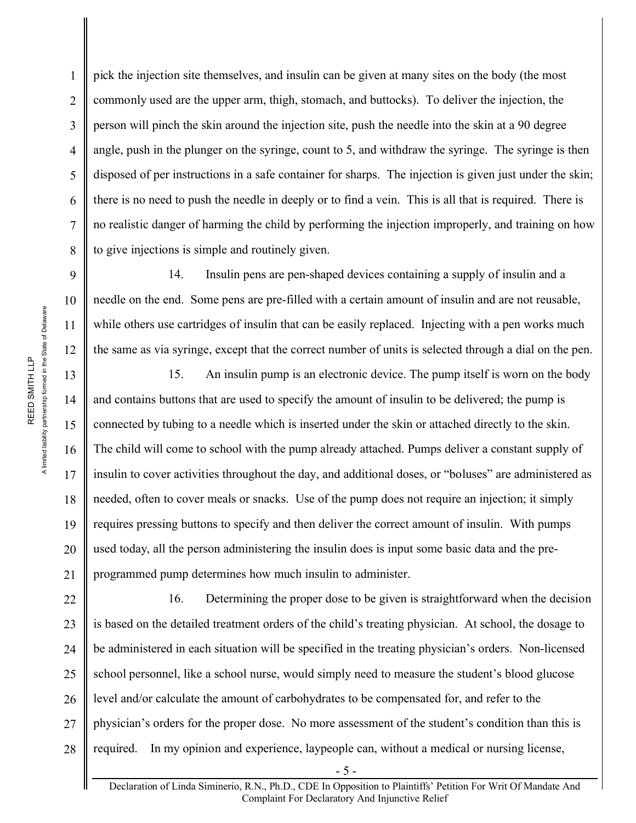pick the injection site themselves, and insulin can be given at many sites on the body (the most commonly used are the upper arm, thigh, stomach, and buttocks). To deliver the injection, the person will pinch the skin around the injection site, push the needle into the skin at a 90 degree angle, push in the plunger on the syringe, count to 5, and withdraw the syringe. The syringe is then disposed of per instructions in a safe container for sharps. The injection is given just under the skin; there is no need to push the needle in deeply or to find a vein. This is all that is required. There is no realistic danger of harming the child by performing the injection improperly, and training on how to give injections is simple and routinely given.

14. Insulin pens are pen-shaped devices containing a supply of insulin and a needle on the end. Some pens are pre-filled with a certain amount of insulin and are not reusable, while others use cartridges of insulin that can be easily replaced. Injecting with a pen works much the same as via syringe, except that the correct number of units is selected through a dial on the pen.

15. An insulin pump is an electronic device. The pump itself is worn on the body and contains buttons that are used to specify the amount of insulin to be delivered; the pump is connected by tubing to a needle which is inserted under the skin or attached directly to the skin. The child will come to school with the pump already attached. Pumps deliver a constant supply of insulin to cover activities throughout the day, and additional doses, or "boluses" are administered as needed, often to cover meals or snacks. Use of the pump does not require an injection; it simply requires pressing buttons to specify and then deliver the correct amount of insulin. With pumps used today, all the person administering the insulin does is input some basic data and the preprogrammed pump determines how much insulin to administer.

22 23 24 25 26 27 28 16. Determining the proper dose to be given is straightforward when the decision is based on the detailed treatment orders of the child's treating physician. At school, the dosage to be administered in each situation will be specified in the treating physician's orders. Non-licensed school personnel, like a school nurse, would simply need to measure the student's blood glucose level and/or calculate the amount of carbohydrates to be compensated for, and refer to the physician's orders for the proper dose. No more assessment of the student's condition than this is required. In my opinion and experience, laypeople can, without a medical or nursing license,

1

2

3

4

5

6

7

8

9

10

11

12

13

14

15

16

17

18

19

20

21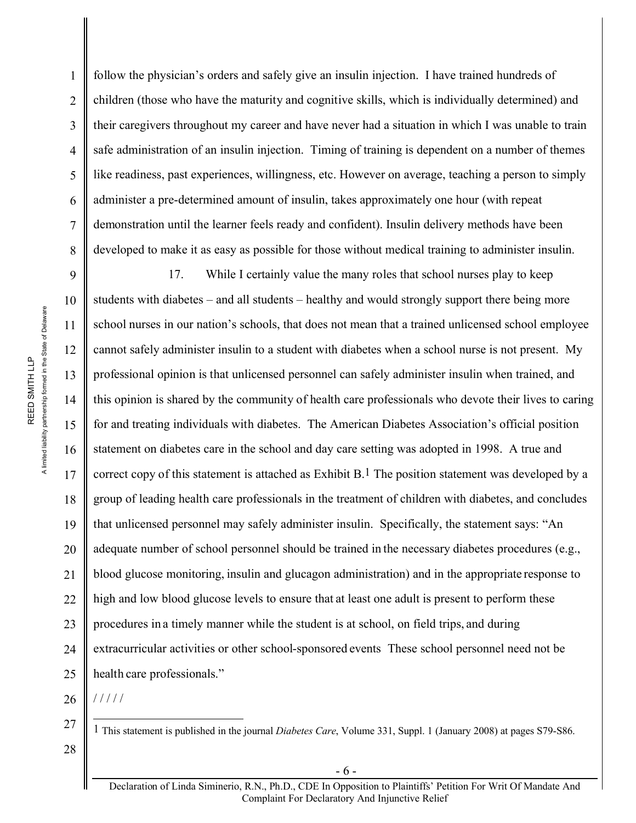follow the physician's orders and safely give an insulin injection. I have trained hundreds of children (those who have the maturity and cognitive skills, which is individually determined) and their caregivers throughout my career and have never had a situation in which I was unable to train safe administration of an insulin injection. Timing of training is dependent on a number of themes like readiness, past experiences, willingness, etc. However on average, teaching a person to simply administer a pre-determined amount of insulin, takes approximately one hour (with repeat demonstration until the learner feels ready and confident). Insulin delivery methods have been developed to make it as easy as possible for those without medical training to administer insulin.

9 10 11 12 13 14 15 16 17 18 19 20 21 22 23 24 25 17. While I certainly value the many roles that school nurses play to keep students with diabetes – and all students – healthy and would strongly support there being more school nurses in our nation's schools, that does not mean that a trained unlicensed school employee cannot safely administer insulin to a student with diabetes when a school nurse is not present. My professional opinion is that unlicensed personnel can safely administer insulin when trained, and this opinion is shared by the community of health care professionals who devote their lives to caring for and treating individuals with diabetes. The American Diabetes Association's official position statement on diabetes care in the school and day care setting was adopted in 1998. A true and correct copy of this statement is attached as Exhibit  $B<sup>1</sup>$ . The position statement was developed by a group of leading health care professionals in the treatment of children with diabetes, and concludes that unlicensed personnel may safely administer insulin. Specifically, the statement says: "An adequate number of school personnel should be trained in the necessary diabetes procedures (e.g., blood glucose monitoring, insulin and glucagon administration) and in the appropriate response to high and low blood glucose levels to ensure that at least one adult is present to perform these procedures in a timely manner while the student is at school, on field trips, and during extracurricular activities or other school-sponsored events These school personnel need not be health care professionals."

26 / / / / /

27 28

1 This statement is published in the journal *Diabetes Care*, Volume 331, Suppl. 1 (January 2008) at pages S79-S86.

A limited liability partnership formed in the State of Delaware A limited liability partnership formed in the State of Delaware REED SMITH LLP REED SMITH LLP

1

2

3

4

5

6

7

8

- 6 -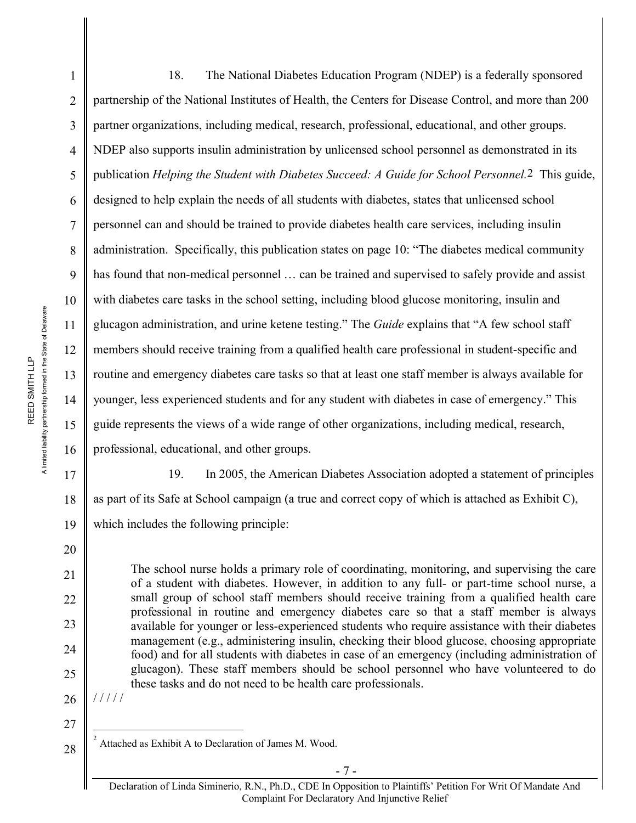A limited liability partnership formed in the State of Delaware A limited liability partnership formed in the State of Delaware REED SMITH LLP REED SMITH LLP

1 2 3 4 5 6 7 8 9 10 11 12 13 14 15 16 17 18 18. The National Diabetes Education Program (NDEP) is a federally sponsored partnership of the National Institutes of Health, the Centers for Disease Control, and more than 200 partner organizations, including medical, research, professional, educational, and other groups. NDEP also supports insulin administration by unlicensed school personnel as demonstrated in its publication *Helping the Student with Diabetes Succeed: A Guide for School Personnel.*2 This guide, designed to help explain the needs of all students with diabetes, states that unlicensed school personnel can and should be trained to provide diabetes health care services, including insulin administration. Specifically, this publication states on page 10: "The diabetes medical community has found that non-medical personnel ... can be trained and supervised to safely provide and assist with diabetes care tasks in the school setting, including blood glucose monitoring, insulin and glucagon administration, and urine ketene testing." The *Guide* explains that "A few school staff members should receive training from a qualified health care professional in student-specific and routine and emergency diabetes care tasks so that at least one staff member is always available for younger, less experienced students and for any student with diabetes in case of emergency." This guide represents the views of a wide range of other organizations, including medical, research, professional, educational, and other groups. 19. In 2005, the American Diabetes Association adopted a statement of principles as part of its Safe at School campaign (a true and correct copy of which is attached as Exhibit C),

19 which includes the following principle:

> The school nurse holds a primary role of coordinating, monitoring, and supervising the care of a student with diabetes. However, in addition to any full- or part-time school nurse, a small group of school staff members should receive training from a qualified health care professional in routine and emergency diabetes care so that a staff member is always available for younger or less-experienced students who require assistance with their diabetes management (e.g., administering insulin, checking their blood glucose, choosing appropriate food) and for all students with diabetes in case of an emergency (including administration of glucagon). These staff members should be school personnel who have volunteered to do these tasks and do not need to be health care professionals.

26 / / / / /

20

21

22

23

24

25

27

28 2 Attached as Exhibit A to Declaration of James M. Wood.

Declaration of Linda Siminerio, R.N., Ph.D., CDE In Opposition to Plaintiffs' Petition For Writ Of Mandate And Complaint For Declaratory And Injunctive Relief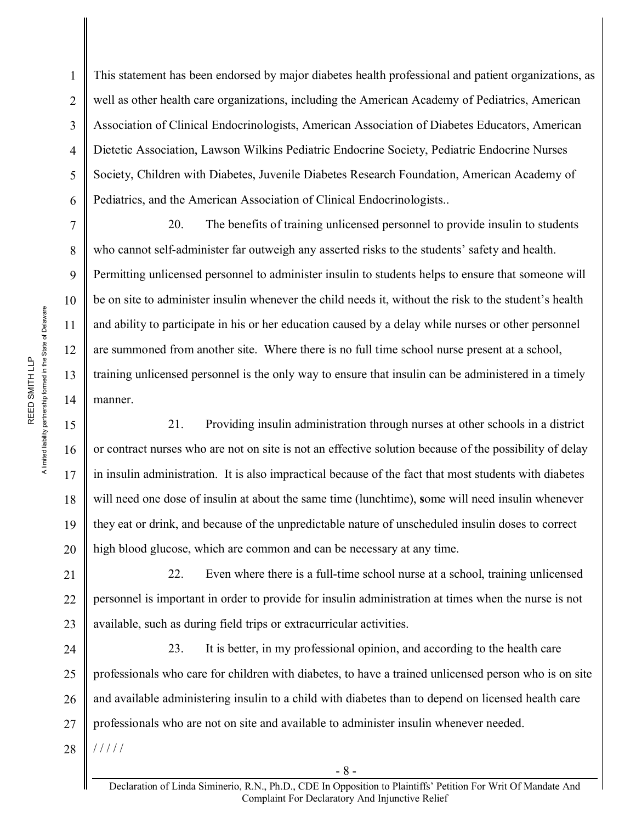This statement has been endorsed by major diabetes health professional and patient organizations, as well as other health care organizations, including the American Academy of Pediatrics, American Association of Clinical Endocrinologists, American Association of Diabetes Educators, American Dietetic Association, Lawson Wilkins Pediatric Endocrine Society, Pediatric Endocrine Nurses Society, Children with Diabetes, Juvenile Diabetes Research Foundation, American Academy of Pediatrics, and the American Association of Clinical Endocrinologists..

20. The benefits of training unlicensed personnel to provide insulin to students who cannot self-administer far outweigh any asserted risks to the students' safety and health. Permitting unlicensed personnel to administer insulin to students helps to ensure that someone will be on site to administer insulin whenever the child needs it, without the risk to the student's health and ability to participate in his or her education caused by a delay while nurses or other personnel are summoned from another site. Where there is no full time school nurse present at a school, training unlicensed personnel is the only way to ensure that insulin can be administered in a timely manner.

21. Providing insulin administration through nurses at other schools in a district or contract nurses who are not on site is not an effective solution because of the possibility of delay in insulin administration. It is also impractical because of the fact that most students with diabetes will need one dose of insulin at about the same time (lunchtime), **s**ome will need insulin whenever they eat or drink, and because of the unpredictable nature of unscheduled insulin doses to correct high blood glucose, which are common and can be necessary at any time.

21 22 23 22. Even where there is a full-time school nurse at a school, training unlicensed personnel is important in order to provide for insulin administration at times when the nurse is not available, such as during field trips or extracurricular activities.

24 25 26 27 28 23. It is better, in my professional opinion, and according to the health care professionals who care for children with diabetes, to have a trained unlicensed person who is on site and available administering insulin to a child with diabetes than to depend on licensed health care professionals who are not on site and available to administer insulin whenever needed. / / / / /

1

2

3

4

5

6

7

8

9

10

11

12

13

14

15

16

17

18

19

20

- 8 -

Declaration of Linda Siminerio, R.N., Ph.D., CDE In Opposition to Plaintiffs' Petition For Writ Of Mandate And Complaint For Declaratory And Injunctive Relief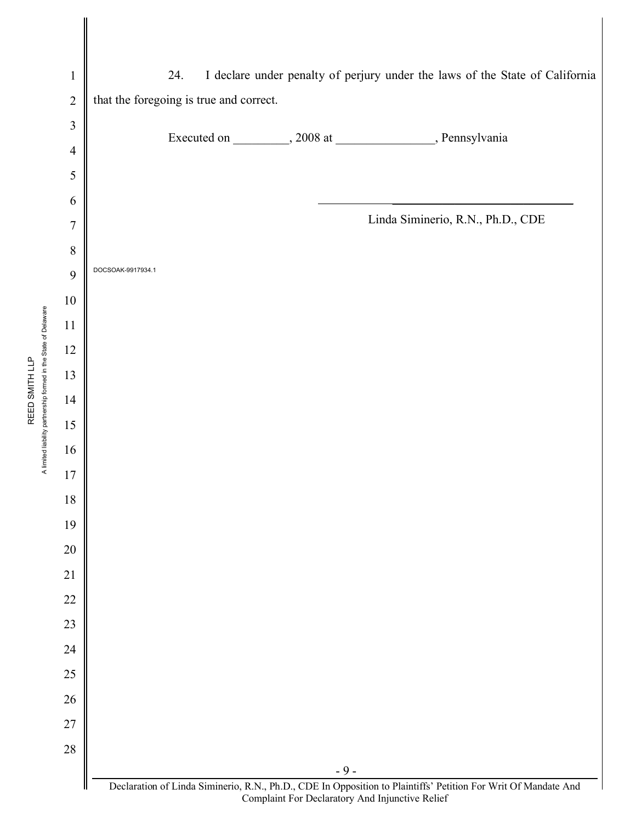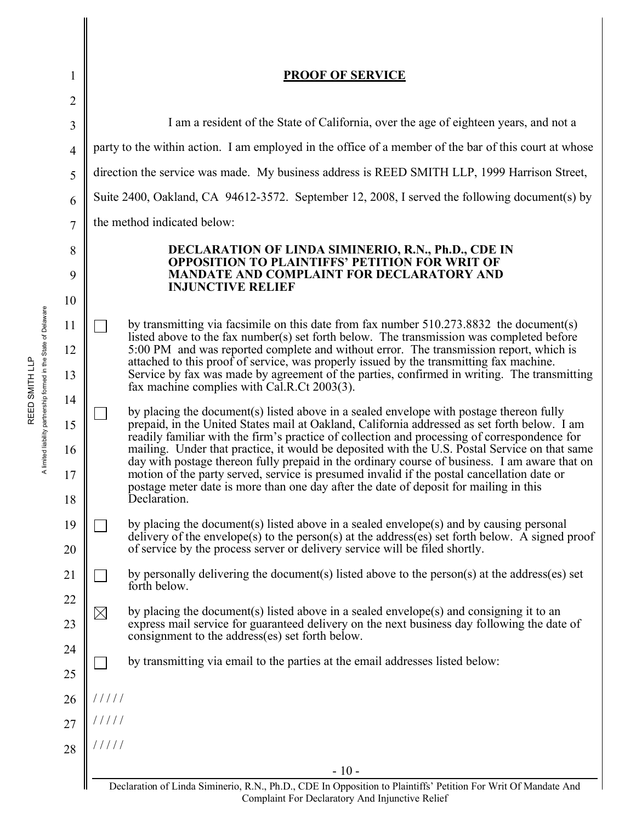| 1              |                                                                                                                          | <b>PROOF OF SERVICE</b>                                                                                                                                                                       |  |  |  |
|----------------|--------------------------------------------------------------------------------------------------------------------------|-----------------------------------------------------------------------------------------------------------------------------------------------------------------------------------------------|--|--|--|
| $\overline{2}$ |                                                                                                                          |                                                                                                                                                                                               |  |  |  |
| 3              | I am a resident of the State of California, over the age of eighteen years, and not a                                    |                                                                                                                                                                                               |  |  |  |
| $\overline{4}$ | party to the within action. I am employed in the office of a member of the bar of this court at whose                    |                                                                                                                                                                                               |  |  |  |
| 5              | direction the service was made. My business address is REED SMITH LLP, 1999 Harrison Street,                             |                                                                                                                                                                                               |  |  |  |
| 6              | Suite 2400, Oakland, CA 94612-3572. September 12, 2008, I served the following document(s) by                            |                                                                                                                                                                                               |  |  |  |
| $\overline{7}$ | the method indicated below:                                                                                              |                                                                                                                                                                                               |  |  |  |
| 8              | DECLARATION OF LINDA SIMINERIO, R.N., Ph.D., CDE IN                                                                      |                                                                                                                                                                                               |  |  |  |
| 9              | <b>OPPOSITION TO PLAINTIFFS' PETITION FOR WRIT OF</b><br><b>MANDATE AND COMPLAINT FOR DECLARATORY AND</b>                |                                                                                                                                                                                               |  |  |  |
| 10             |                                                                                                                          | <b>INJUNCTIVE RELIEF</b>                                                                                                                                                                      |  |  |  |
| 11             |                                                                                                                          | by transmitting via facsimile on this date from fax number 510.273.8832 the document(s)                                                                                                       |  |  |  |
| 12             |                                                                                                                          | listed above to the fax number(s) set forth below. The transmission was completed before<br>5:00 PM and was reported complete and without error. The transmission report, which is            |  |  |  |
| 13             |                                                                                                                          | attached to this proof of service, was properly issued by the transmitting fax machine.<br>Service by fax was made by agreement of the parties, confirmed in writing. The transmitting        |  |  |  |
| 14             |                                                                                                                          | fax machine complies with Cal.R.Ct 2003(3).                                                                                                                                                   |  |  |  |
| 15             |                                                                                                                          | by placing the document(s) listed above in a sealed envelope with postage thereon fully<br>prepaid, in the United States mail at Oakland, California addressed as set forth below. I am       |  |  |  |
| 16             |                                                                                                                          | readily familiar with the firm's practice of collection and processing of correspondence for<br>mailing. Under that practice, it would be deposited with the U.S. Postal Service on that same |  |  |  |
| 17             |                                                                                                                          | day with postage thereon fully prepaid in the ordinary course of business. I am aware that on<br>motion of the party served, service is presumed invalid if the postal cancellation date or   |  |  |  |
| 18             |                                                                                                                          | postage meter date is more than one day after the date of deposit for mailing in this<br>Declaration.                                                                                         |  |  |  |
| 19             |                                                                                                                          | by placing the document(s) listed above in a sealed envelope(s) and by causing personal                                                                                                       |  |  |  |
| 20             |                                                                                                                          | delivery of the envelope(s) to the person(s) at the address(es) set forth below. A signed proof<br>of service by the process server or delivery service will be filed shortly.                |  |  |  |
| 21             |                                                                                                                          | by personally delivering the document(s) listed above to the person(s) at the address(es) set<br>forth below.                                                                                 |  |  |  |
| 22             | $\boxtimes$                                                                                                              | by placing the document(s) listed above in a sealed envelope(s) and consigning it to an                                                                                                       |  |  |  |
| 23             |                                                                                                                          | express mail service for guaranteed delivery on the next business day following the date of<br>consignment to the address(es) set forth below.                                                |  |  |  |
| 24             |                                                                                                                          | by transmitting via email to the parties at the email addresses listed below:                                                                                                                 |  |  |  |
| 25             |                                                                                                                          |                                                                                                                                                                                               |  |  |  |
| 26             | 11111                                                                                                                    |                                                                                                                                                                                               |  |  |  |
| 27             | /////                                                                                                                    |                                                                                                                                                                                               |  |  |  |
| 28             | 11111                                                                                                                    |                                                                                                                                                                                               |  |  |  |
|                | $-10-$<br>Declaration of Linda Siminerio, R.N., Ph.D., CDE In Opposition to Plaintiffs' Petition For Writ Of Mandate And |                                                                                                                                                                                               |  |  |  |

Declaration of Linda Siminerio, R.N., Ph.D., CDE In Opposition to Plaintiffs' Petition For Writ Of Mandate And Complaint For Declaratory And Injunctive Relief

A limited liability partnership formed in the State of Delaware A limited liability partnership formed in the State of Delaware REED SMITH LLP REED SMITH LLP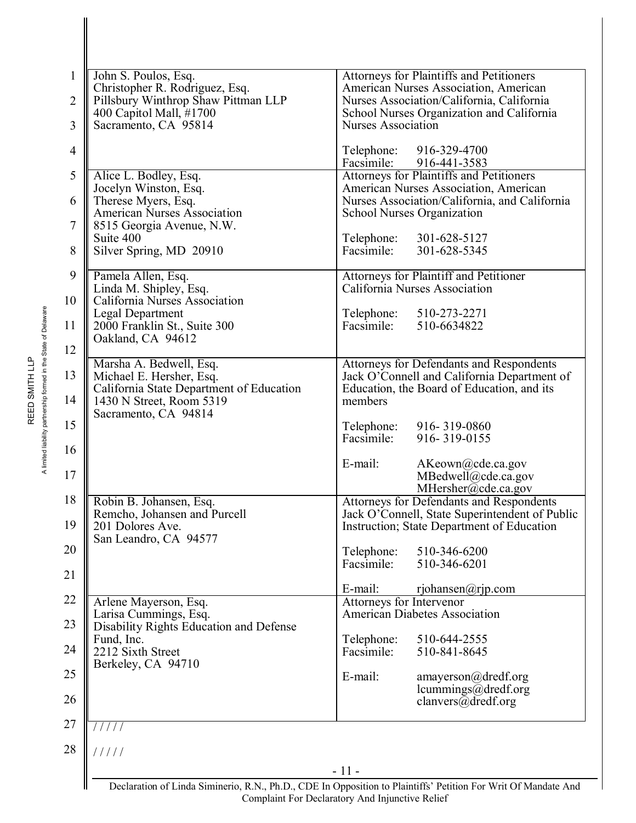| John S. Poulos, Esq.                                                  | Attorneys for Plaintiffs and Petitioners                                                          |  |  |
|-----------------------------------------------------------------------|---------------------------------------------------------------------------------------------------|--|--|
| Christopher R. Rodriguez, Esq.<br>Pillsbury Winthrop Shaw Pittman LLP | American Nurses Association, American<br>Nurses Association/California, California                |  |  |
| 400 Capitol Mall, #1700                                               | School Nurses Organization and California                                                         |  |  |
| Sacramento, CA 95814                                                  | <b>Nurses Association</b>                                                                         |  |  |
|                                                                       | 916-329-4700<br>Telephone:                                                                        |  |  |
|                                                                       | Facsimile:<br>916-441-3583                                                                        |  |  |
| Alice L. Bodley, Esq.<br>Jocelyn Winston, Esq.                        | Attorneys for Plaintiffs and Petitioners<br>American Nurses Association, American                 |  |  |
| Therese Myers, Esq.                                                   | Nurses Association/California, and California<br><b>School Nurses Organization</b>                |  |  |
| <b>American Nurses Association</b>                                    |                                                                                                   |  |  |
| 8515 Georgia Avenue, N.W.<br>Suite 400                                | 301-628-5127<br>Telephone:                                                                        |  |  |
| Silver Spring, MD 20910                                               | Facsimile:<br>301-628-5345                                                                        |  |  |
|                                                                       |                                                                                                   |  |  |
| Pamela Allen, Esq.<br>Linda M. Shipley, Esq.                          | Attorneys for Plaintiff and Petitioner<br>California Nurses Association                           |  |  |
| California Nurses Association                                         |                                                                                                   |  |  |
| <b>Legal Department</b><br>2000 Franklin St., Suite 300               | 510-273-2271<br>Telephone:<br>Facsimile:<br>510-6634822                                           |  |  |
| Oakland, CA 94612                                                     |                                                                                                   |  |  |
|                                                                       |                                                                                                   |  |  |
| Marsha A. Bedwell, Esq.<br>Michael E. Hersher, Esq.                   | Attorneys for Defendants and Respondents<br>Jack O'Connell and California Department of           |  |  |
| California State Department of Education                              | Education, the Board of Education, and its                                                        |  |  |
| 1430 N Street, Room 5319                                              | members                                                                                           |  |  |
| Sacramento, CA 94814                                                  | Telephone:<br>916-319-0860                                                                        |  |  |
|                                                                       | Facsimile:<br>916-319-0155                                                                        |  |  |
|                                                                       | E-mail:<br>AKeown@cde.ca.gov                                                                      |  |  |
|                                                                       | MBedwell@cde.ca.gov                                                                               |  |  |
|                                                                       | MHersher@cde.ca.gov                                                                               |  |  |
| Robin B. Johansen, Esq.<br>Remcho, Johansen and Purcell               | <b>Attorneys for Defendants and Respondents</b><br>Jack O'Connell, State Superintendent of Public |  |  |
| 201 Dolores Ave.                                                      | Instruction; State Department of Education                                                        |  |  |
| San Leandro, CA 94577                                                 |                                                                                                   |  |  |
|                                                                       | Telephone:<br>510-346-6200<br>Facsimile:<br>510-346-6201                                          |  |  |
|                                                                       |                                                                                                   |  |  |
|                                                                       | E-mail:<br>rjohansen@rjp.com                                                                      |  |  |
| Arlene Mayerson, Esq.<br>Larisa Cummings, Esq.                        | Attorneys for Intervenor<br><b>American Diabetes Association</b>                                  |  |  |
| Disability Rights Education and Defense                               |                                                                                                   |  |  |
| Fund, Inc.<br>2212 Sixth Street                                       | Telephone:<br>510-644-2555<br>Facsimile:<br>510-841-8645                                          |  |  |
| Berkeley, CA 94710                                                    |                                                                                                   |  |  |
|                                                                       | E-mail:<br>amayerson@dredf.org                                                                    |  |  |
|                                                                       | lcummings@dredf.org<br>clanvers@dredf.org                                                         |  |  |
|                                                                       |                                                                                                   |  |  |
| 1111                                                                  |                                                                                                   |  |  |
| 11111                                                                 |                                                                                                   |  |  |

Declaration of Linda Siminerio, R.N., Ph.D., CDE In Opposition to Plaintiffs' Petition For Writ Of Mandate And Complaint For Declaratory And Injunctive Relief

A limited liability partnership formed in the State of Delaware A limited liability partnership formed in the State of Delaware

 $\overline{\mathsf{I}}$ 

REED SMITH LLP REED SMITH LLP